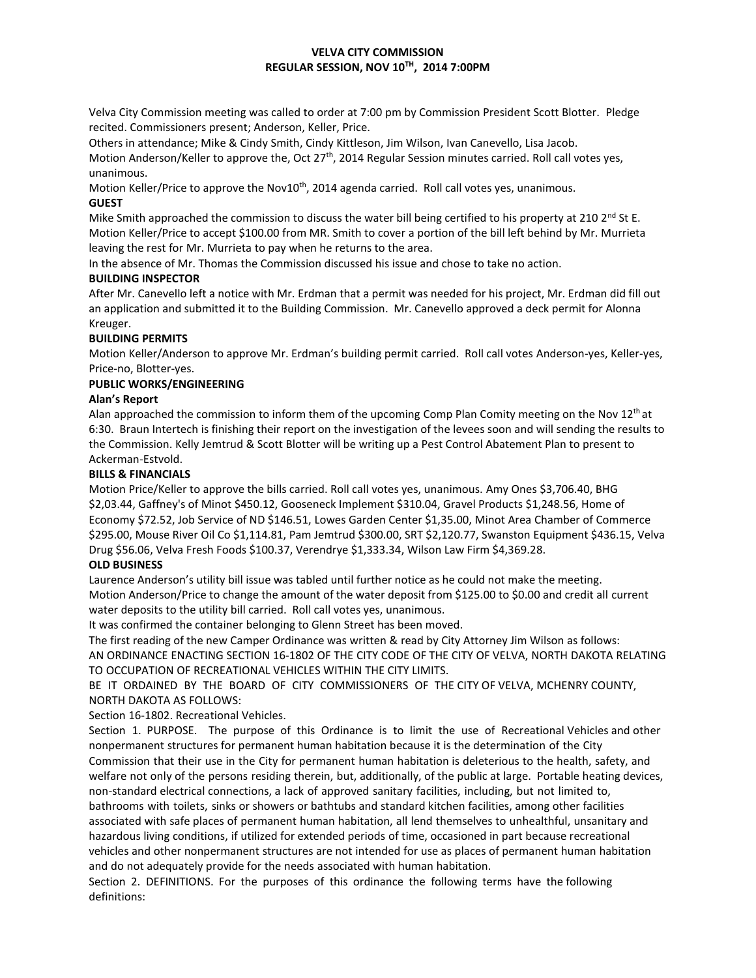# **VELVA CITY COMMISSION REGULAR SESSION, NOV 10TH , 2014 7:00PM**

Velva City Commission meeting was called to order at 7:00 pm by Commission President Scott Blotter. Pledge recited. Commissioners present; Anderson, Keller, Price.

Others in attendance; Mike & Cindy Smith, Cindy Kittleson, Jim Wilson, Ivan Canevello, Lisa Jacob.

Motion Anderson/Keller to approve the, Oct 27<sup>th</sup>, 2014 Regular Session minutes carried. Roll call votes yes, unanimous.

Motion Keller/Price to approve the Nov10<sup>th</sup>, 2014 agenda carried. Roll call votes yes, unanimous. **GUEST**

Mike Smith approached the commission to discuss the water bill being certified to his property at 210  $2^{nd}$  St E. Motion Keller/Price to accept \$100.00 from MR. Smith to cover a portion of the bill left behind by Mr. Murrieta leaving the rest for Mr. Murrieta to pay when he returns to the area.

In the absence of Mr. Thomas the Commission discussed his issue and chose to take no action.

# **BUILDING INSPECTOR**

After Mr. Canevello left a notice with Mr. Erdman that a permit was needed for his project, Mr. Erdman did fill out an application and submitted it to the Building Commission. Mr. Canevello approved a deck permit for Alonna Kreuger.

# **BUILDING PERMITS**

Motion Keller/Anderson to approve Mr. Erdman's building permit carried. Roll call votes Anderson-yes, Keller-yes, Price-no, Blotter-yes.

## **PUBLIC WORKS/ENGINEERING**

## **Alan's Report**

Alan approached the commission to inform them of the upcoming Comp Plan Comity meeting on the Nov  $12<sup>th</sup>$  at 6:30. Braun Intertech is finishing their report on the investigation of the levees soon and will sending the results to the Commission. Kelly Jemtrud & Scott Blotter will be writing up a Pest Control Abatement Plan to present to Ackerman-Estvold.

## **BILLS & FINANCIALS**

Motion Price/Keller to approve the bills carried. Roll call votes yes, unanimous. Amy Ones \$3,706.40, BHG \$2,03.44, Gaffney's of Minot \$450.12, Gooseneck Implement \$310.04, Gravel Products \$1,248.56, Home of Economy \$72.52, Job Service of ND \$146.51, Lowes Garden Center \$1,35.00, Minot Area Chamber of Commerce \$295.00, Mouse River Oil Co \$1,114.81, Pam Jemtrud \$300.00, SRT \$2,120.77, Swanston Equipment \$436.15, Velva Drug \$56.06, Velva Fresh Foods \$100.37, Verendrye \$1,333.34, Wilson Law Firm \$4,369.28.

# **OLD BUSINESS**

Laurence Anderson's utility bill issue was tabled until further notice as he could not make the meeting. Motion Anderson/Price to change the amount of the water deposit from \$125.00 to \$0.00 and credit all current water deposits to the utility bill carried. Roll call votes yes, unanimous.

It was confirmed the container belonging to Glenn Street has been moved.

The first reading of the new Camper Ordinance was written & read by City Attorney Jim Wilson as follows: AN ORDINANCE ENACTING SECTION 16-1802 OF THE CITY CODE OF THE CITY OF VELVA, NORTH DAKOTA RELATING TO OCCUPATION OF RECREATIONAL VEHICLES WITHIN THE CITY LIMITS.

BE IT ORDAINED BY THE BOARD OF CITY COMMISSIONERS OF THE CITY OF VELVA, MCHENRY COUNTY, NORTH DAKOTA AS FOLLOWS:

# Section 16-1802. Recreational Vehicles.

Section 1. PURPOSE. The purpose of this Ordinance is to limit the use of Recreational Vehicles and other nonpermanent structures for permanent human habitation because it is the determination of the City Commission that their use in the City for permanent human habitation is deleterious to the health, safety, and welfare not only of the persons residing therein, but, additionally, of the public at large. Portable heating devices, non-standard electrical connections, a lack of approved sanitary facilities, including, but not limited to, bathrooms with toilets, sinks or showers or bathtubs and standard kitchen facilities, among other facilities associated with safe places of permanent human habitation, all lend themselves to unhealthful, unsanitary and hazardous living conditions, if utilized for extended periods of time, occasioned in part because recreational vehicles and other nonpermanent structures are not intended for use as places of permanent human habitation and do not adequately provide for the needs associated with human habitation.

Section 2. DEFINITIONS. For the purposes of this ordinance the following terms have the following definitions: